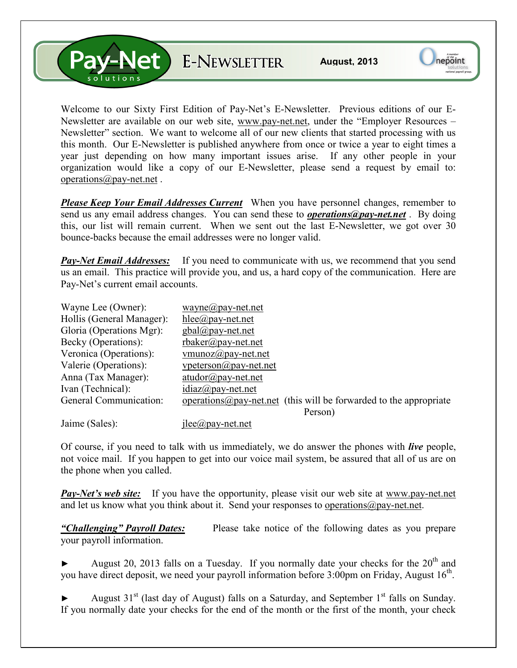**Pav-Net** E-NEWSLETTER

Welcome to our Sixty First Edition of Pay-Net's E-Newsletter. Previous editions of our E-Newsletter are available on our web site, www.pay-net.net, under the "Employer Resources – Newsletter" section. We want to welcome all of our new clients that started processing with us this month. Our E-Newsletter is published anywhere from once or twice a year to eight times a year just depending on how many important issues arise. If any other people in your organization would like a copy of our E-Newsletter, please send a request by email to: operations@pay-net.net .

*Please Keep Your Email Addresses Current* When you have personnel changes, remember to send us any email address changes. You can send these to *operations@pay-net.net* . By doing this, our list will remain current. When we sent out the last E-Newsletter, we got over 30 bounce-backs because the email addresses were no longer valid.

*Pay-Net Email Addresses:* If you need to communicate with us, we recommend that you send us an email. This practice will provide you, and us, a hard copy of the communication. Here are Pay-Net's current email accounts.

| Wayne Lee (Owner):        | $wayne@pay-net.net$                                                        |
|---------------------------|----------------------------------------------------------------------------|
| Hollis (General Manager): | hlee@pay-net.net                                                           |
| Gloria (Operations Mgr):  | $gbal(\partial p$ ay-net.net                                               |
| Becky (Operations):       | $r$ baker@pay-net.net                                                      |
| Veronica (Operations):    | vmunoz $(a)$ pay-net.net                                                   |
| Valerie (Operations):     | $v$ peterson $\omega$ pay-net.net                                          |
| Anna (Tax Manager):       | $atudor@pay-net.net$                                                       |
| Ivan (Technical):         | $idiaz(\partial p$ ay-net.net                                              |
| General Communication:    | operations $\omega$ pay-net net (this will be forwarded to the appropriate |
|                           | Person)                                                                    |
| Jaime (Sales):            | $i$ lee $\omega$ pay-net.net                                               |

Of course, if you need to talk with us immediately, we do answer the phones with *live* people, not voice mail. If you happen to get into our voice mail system, be assured that all of us are on the phone when you called.

**Pay-Net's web site:** If you have the opportunity, please visit our web site at www.pay-net.net and let us know what you think about it. Send your responses to operations  $\omega$  pay-net.net.

*"Challenging" Payroll Dates:* Please take notice of the following dates as you prepare your payroll information.

August 20, 2013 falls on a Tuesday. If you normally date your checks for the  $20<sup>th</sup>$  and you have direct deposit, we need your payroll information before 3:00pm on Friday, August 16<sup>th</sup>.

August  $31<sup>st</sup>$  (last day of August) falls on a Saturday, and September  $1<sup>st</sup>$  falls on Sunday. If you normally date your checks for the end of the month or the first of the month, your check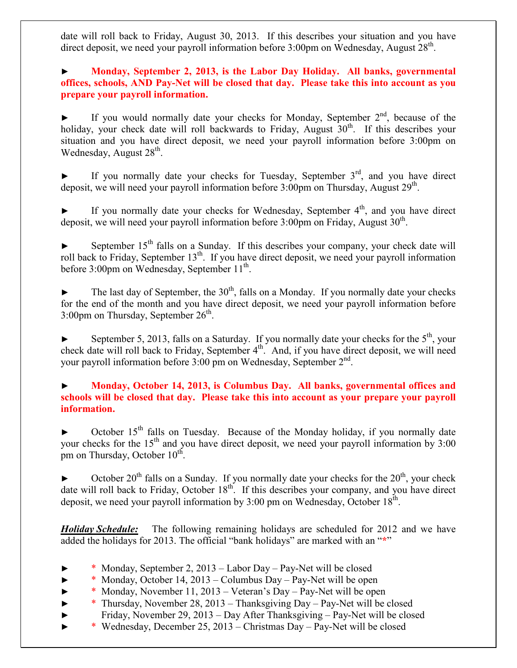date will roll back to Friday, August 30, 2013. If this describes your situation and you have direct deposit, we need your payroll information before  $3:00$ pm on Wednesday, August  $28<sup>th</sup>$ .

## ► **Monday, September 2, 2013, is the Labor Day Holiday. All banks, governmental offices, schools, AND Pay-Net will be closed that day. Please take this into account as you prepare your payroll information.**

If you would normally date your checks for Monday, September  $2<sup>nd</sup>$ , because of the holiday, your check date will roll backwards to Friday, August  $30<sup>th</sup>$ . If this describes your situation and you have direct deposit, we need your payroll information before 3:00pm on Wednesday, August 28<sup>th</sup>.

If you normally date your checks for Tuesday, September  $3<sup>rd</sup>$ , and you have direct deposit, we will need your payroll information before  $3:00 \text{pm}$  on Thursday, August  $29^{\text{th}}$ .

If you normally date your checks for Wednesday, September  $4<sup>th</sup>$ , and you have direct deposit, we will need your payroll information before  $3:00 \text{pm}$  on Friday, August  $30^{\text{th}}$ .

September 15<sup>th</sup> falls on a Sunday. If this describes your company, your check date will roll back to Friday, September 13<sup>th</sup>. If you have direct deposit, we need your payroll information before 3:00pm on Wednesday, September 11<sup>th</sup>.

 $\blacktriangleright$  The last day of September, the 30<sup>th</sup>, falls on a Monday. If you normally date your checks for the end of the month and you have direct deposit, we need your payroll information before  $3:00 \text{pm}$  on Thursday, September  $26^{\text{th}}$ .

September 5, 2013, falls on a Saturday. If you normally date your checks for the  $5<sup>th</sup>$ , your check date will roll back to Friday, September 4<sup>th</sup>. And, if you have direct deposit, we will need your payroll information before  $3:00$  pm on Wednesday, September  $2<sup>nd</sup>$ .

## ► **Monday, October 14, 2013, is Columbus Day. All banks, governmental offices and schools will be closed that day. Please take this into account as your prepare your payroll information.**

October 15<sup>th</sup> falls on Tuesday. Because of the Monday holiday, if you normally date your checks for the  $15<sup>th</sup>$  and you have direct deposit, we need your payroll information by  $3:00$  $p$ m on Thursday, October  $10^{th}$ .

October  $20^{th}$  falls on a Sunday. If you normally date your checks for the  $20^{th}$ , your check date will roll back to Friday, October  $18<sup>th</sup>$ . If this describes your company, and you have direct deposit, we need your payroll information by 3:00 pm on Wednesday, October  $18^{\text{th}}$ .

*Holiday Schedule:* The following remaining holidays are scheduled for 2012 and we have added the holidays for 2013. The official "bank holidays" are marked with an "**\***"

- \* Monday, September 2,  $2013 -$ Labor Day Pay-Net will be closed
	- $*$  Monday, October 14, 2013 Columbus Day Pay-Net will be open
- ► \* Monday, November 11, 2013 Veteran's Day Pay-Net will be open
- ► \* Thursday, November 28, 2013 Thanksgiving Day Pay-Net will be closed
	- ► Friday, November 29, 2013 Day After Thanksgiving Pay-Net will be closed
- ► \* Wednesday, December 25, 2013 Christmas Day Pay-Net will be closed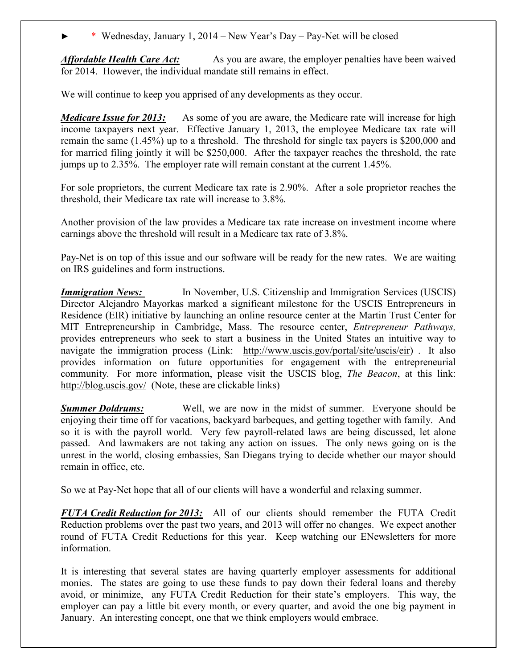► \* Wednesday, January 1, 2014 – New Year's Day – Pay-Net will be closed

*Affordable Health Care Act:* As you are aware, the employer penalties have been waived for 2014. However, the individual mandate still remains in effect.

We will continue to keep you apprised of any developments as they occur.

*Medicare Issue for 2013:* As some of you are aware, the Medicare rate will increase for high income taxpayers next year. Effective January 1, 2013, the employee Medicare tax rate will remain the same (1.45%) up to a threshold. The threshold for single tax payers is \$200,000 and for married filing jointly it will be \$250,000. After the taxpayer reaches the threshold, the rate jumps up to 2.35%. The employer rate will remain constant at the current 1.45%.

For sole proprietors, the current Medicare tax rate is 2.90%. After a sole proprietor reaches the threshold, their Medicare tax rate will increase to 3.8%.

Another provision of the law provides a Medicare tax rate increase on investment income where earnings above the threshold will result in a Medicare tax rate of 3.8%.

Pay-Net is on top of this issue and our software will be ready for the new rates. We are waiting on IRS guidelines and form instructions.

*Immigration News:* In November, U.S. Citizenship and Immigration Services (USCIS) Director Alejandro Mayorkas marked a significant milestone for the USCIS Entrepreneurs in Residence (EIR) initiative by launching an online resource center at the Martin Trust Center for MIT Entrepreneurship in Cambridge, Mass. The resource center, *Entrepreneur Pathways,*  provides entrepreneurs who seek to start a business in the United States an intuitive way to navigate the immigration process (Link: http://www.uscis.gov/portal/site/uscis/eir) . It also provides information on future opportunities for engagement with the entrepreneurial community*.* For more information, please visit the USCIS blog, *The Beacon*, at this link: http://blog.uscis.gov/ (Note, these are clickable links)

**Summer Doldrums:** Well, we are now in the midst of summer. Everyone should be enjoying their time off for vacations, backyard barbeques, and getting together with family. And so it is with the payroll world. Very few payroll-related laws are being discussed, let alone passed. And lawmakers are not taking any action on issues. The only news going on is the unrest in the world, closing embassies, San Diegans trying to decide whether our mayor should remain in office, etc.

So we at Pay-Net hope that all of our clients will have a wonderful and relaxing summer.

*FUTA Credit Reduction for 2013:* All of our clients should remember the FUTA Credit Reduction problems over the past two years, and 2013 will offer no changes. We expect another round of FUTA Credit Reductions for this year. Keep watching our ENewsletters for more information.

It is interesting that several states are having quarterly employer assessments for additional monies. The states are going to use these funds to pay down their federal loans and thereby avoid, or minimize, any FUTA Credit Reduction for their state's employers. This way, the employer can pay a little bit every month, or every quarter, and avoid the one big payment in January. An interesting concept, one that we think employers would embrace.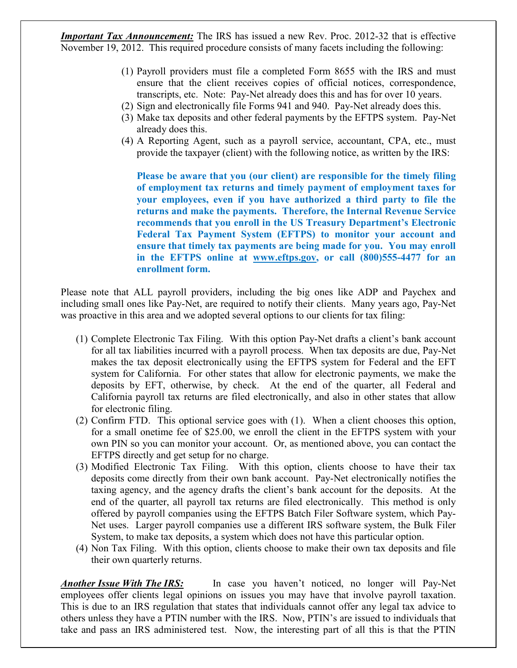*Important Tax Announcement:* The IRS has issued a new Rev. Proc. 2012-32 that is effective November 19, 2012. This required procedure consists of many facets including the following:

- (1) Payroll providers must file a completed Form 8655 with the IRS and must ensure that the client receives copies of official notices, correspondence, transcripts, etc. Note: Pay-Net already does this and has for over 10 years.
- (2) Sign and electronically file Forms 941 and 940. Pay-Net already does this.
- (3) Make tax deposits and other federal payments by the EFTPS system. Pay-Net already does this.
- (4) A Reporting Agent, such as a payroll service, accountant, CPA, etc., must provide the taxpayer (client) with the following notice, as written by the IRS:

**Please be aware that you (our client) are responsible for the timely filing of employment tax returns and timely payment of employment taxes for your employees, even if you have authorized a third party to file the returns and make the payments. Therefore, the Internal Revenue Service recommends that you enroll in the US Treasury Department's Electronic Federal Tax Payment System (EFTPS) to monitor your account and ensure that timely tax payments are being made for you. You may enroll in the EFTPS online at www.eftps.gov, or call (800)555-4477 for an enrollment form.** 

Please note that ALL payroll providers, including the big ones like ADP and Paychex and including small ones like Pay-Net, are required to notify their clients. Many years ago, Pay-Net was proactive in this area and we adopted several options to our clients for tax filing:

- (1) Complete Electronic Tax Filing. With this option Pay-Net drafts a client's bank account for all tax liabilities incurred with a payroll process. When tax deposits are due, Pay-Net makes the tax deposit electronically using the EFTPS system for Federal and the EFT system for California. For other states that allow for electronic payments, we make the deposits by EFT, otherwise, by check. At the end of the quarter, all Federal and California payroll tax returns are filed electronically, and also in other states that allow for electronic filing.
- (2) Confirm FTD. This optional service goes with (1). When a client chooses this option, for a small onetime fee of \$25.00, we enroll the client in the EFTPS system with your own PIN so you can monitor your account. Or, as mentioned above, you can contact the EFTPS directly and get setup for no charge.
- (3) Modified Electronic Tax Filing. With this option, clients choose to have their tax deposits come directly from their own bank account. Pay-Net electronically notifies the taxing agency, and the agency drafts the client's bank account for the deposits. At the end of the quarter, all payroll tax returns are filed electronically. This method is only offered by payroll companies using the EFTPS Batch Filer Software system, which Pay-Net uses. Larger payroll companies use a different IRS software system, the Bulk Filer System, to make tax deposits, a system which does not have this particular option.
- (4) Non Tax Filing. With this option, clients choose to make their own tax deposits and file their own quarterly returns.

*Another Issue With The IRS:* In case you haven't noticed, no longer will Pay-Net employees offer clients legal opinions on issues you may have that involve payroll taxation. This is due to an IRS regulation that states that individuals cannot offer any legal tax advice to others unless they have a PTIN number with the IRS. Now, PTIN's are issued to individuals that take and pass an IRS administered test. Now, the interesting part of all this is that the PTIN